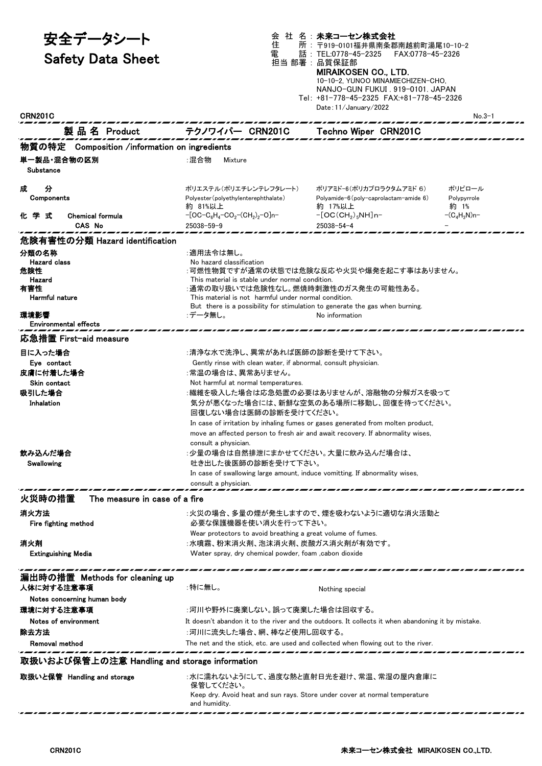| 安全データシート                                      | 社 名:未来コーセン株式会社<br>会<br>住<br>所: 〒919-0101福井県南条郡南越前町湯尾10-10-2                                                                                          |                                                                                                                                                                                                            |                     |  |
|-----------------------------------------------|------------------------------------------------------------------------------------------------------------------------------------------------------|------------------------------------------------------------------------------------------------------------------------------------------------------------------------------------------------------------|---------------------|--|
| <b>Safety Data Sheet</b>                      | 電                                                                                                                                                    | 話:TEL:0778-45-2325<br>FAX:0778-45-2326<br>担当 部署:品質保証部<br><b>MIRAIKOSEN CO., LTD.</b><br>10-10-2, YUNOO MINAMIECHIZEN-CHO,<br>NANJO-GUN FUKUI . 919-0101. JAPAN<br>Tel: +81-778-45-2325 FAX:+81-778-45-2326 |                     |  |
| <b>CRN201C</b>                                |                                                                                                                                                      | Date: 11/January/2022                                                                                                                                                                                      | $No.3-1$            |  |
|                                               |                                                                                                                                                      |                                                                                                                                                                                                            |                     |  |
|                                               | 製品名 Product テクノワイパー CRN201C Techno Wiper CRN201C                                                                                                     |                                                                                                                                                                                                            |                     |  |
| 物質の特定 Composition /information on ingredients |                                                                                                                                                      |                                                                                                                                                                                                            |                     |  |
| 単一製品・混合物の区別<br>Substance                      | :混合物<br>Mixture                                                                                                                                      |                                                                                                                                                                                                            |                     |  |
| 成<br>分                                        | ポリエステル(ポリエチレンテレフタレート)                                                                                                                                | ポリアミド-6(ポリカプロラクタムアミド 6)                                                                                                                                                                                    | ポリピロール              |  |
| Components                                    | Polyester (polyethylenterephthalate)<br>約 81%以上                                                                                                      | Polyamide- $6$ (poly-caprolactam-amide $6$ )<br>約 17%以上                                                                                                                                                    | Polypyrrole<br>約 1% |  |
| 化学式<br><b>Chemical formula</b>                | $-[OC-C_6H_4-CO_2-(CH_2)_2-O]n-$                                                                                                                     | $-[OC(CH2)5NH]n-$                                                                                                                                                                                          | $-(C_4H_3N)n-$      |  |
| CAS No                                        | $25038 - 59 - 9$                                                                                                                                     | $25038 - 54 - 4$                                                                                                                                                                                           |                     |  |
| 危険有害性の分類 Hazard identification                |                                                                                                                                                      |                                                                                                                                                                                                            |                     |  |
| 分類の名称                                         | :適用法令は無し。                                                                                                                                            |                                                                                                                                                                                                            |                     |  |
| <b>Hazard</b> class<br>危険性                    | No hazard classification<br>:可燃性物質ですが通常の状態では危険な反応や火災や爆発を起こす事はありません。                                                                                  |                                                                                                                                                                                                            |                     |  |
| Hazard                                        | This material is stable under normal condition.                                                                                                      |                                                                                                                                                                                                            |                     |  |
| 有害性<br><b>Harmful nature</b>                  | :通常の取り扱いでは危険性なし。燃焼時刺激性のガス発生の可能性ある。<br>This material is not harmful under normal condition.                                                           |                                                                                                                                                                                                            |                     |  |
|                                               | But there is a possibility for stimulation to generate the gas when burning.                                                                         |                                                                                                                                                                                                            |                     |  |
| 環境影響<br><b>Environmental effects</b>          | :データ無し。                                                                                                                                              | No information                                                                                                                                                                                             |                     |  |
| 応急措置 First−aid measure                        |                                                                                                                                                      |                                                                                                                                                                                                            |                     |  |
| 目に入った場合                                       |                                                                                                                                                      |                                                                                                                                                                                                            |                     |  |
| Eye contact                                   | :清浄な水で洗浄し、異常があれば医師の診断を受けて下さい。<br>Gently rinse with clean water, if abnormal, consult physician.                                                      |                                                                                                                                                                                                            |                     |  |
| 皮膚に付着した場合                                     | :常温の場合は、異常ありません。                                                                                                                                     |                                                                                                                                                                                                            |                     |  |
| Skin contact                                  | Not harmful at normal temperatures.                                                                                                                  |                                                                                                                                                                                                            |                     |  |
| 吸引した場合<br>Inhalation                          | :繊維を吸入した場合は応急処置の必要はありませんが、溶融物の分解ガスを吸って                                                                                                               |                                                                                                                                                                                                            |                     |  |
|                                               | 気分が悪くなった場合には、新鮮な空気のある場所に移動し、回復を待ってください。<br>回復しない場合は医師の診断を受けてください。<br>In case of irritation by inhaling fumes or gases generated from molten product, |                                                                                                                                                                                                            |                     |  |
|                                               |                                                                                                                                                      |                                                                                                                                                                                                            |                     |  |
|                                               |                                                                                                                                                      | move an affected person to fresh air and await recovery. If abnormality wises,                                                                                                                             |                     |  |
| 飲み込んだ場合                                       | consult a physician.<br>:少量の場合は自然排泄にまかせてください。大量に飲み込んだ場合は、                                                                                            |                                                                                                                                                                                                            |                     |  |
| Swallowing                                    | 吐き出した後医師の診断を受けて下さい。                                                                                                                                  |                                                                                                                                                                                                            |                     |  |
|                                               | In case of swallowing large amount, induce vomitting. If abnormality wises,                                                                          |                                                                                                                                                                                                            |                     |  |
|                                               | consult a physician.                                                                                                                                 |                                                                                                                                                                                                            |                     |  |
| 火災時の措置<br>The measure in case of a fire       |                                                                                                                                                      |                                                                                                                                                                                                            |                     |  |
| 消火方法<br>Fire fighting method                  | 必要な保護機器を使い消火を行って下さい。                                                                                                                                 | :火災の場合、多量の煙が発生しますので、煙を吸わないように適切な消火活動と                                                                                                                                                                      |                     |  |
|                                               | Wear protectors to avoid breathing a great volume of fumes.                                                                                          |                                                                                                                                                                                                            |                     |  |
| 消火剤<br><b>Extinguishing Media</b>             | :水噴霧、粉末消火剤、泡沫消火剤、炭酸ガス消火剤が有効です。<br>Water spray, dry chemical powder, foam , cabon dioxide                                                             |                                                                                                                                                                                                            |                     |  |
|                                               |                                                                                                                                                      |                                                                                                                                                                                                            |                     |  |
| 漏出時の措置 Methods for cleaning up                |                                                                                                                                                      |                                                                                                                                                                                                            |                     |  |
| 人体に対する注意事項                                    | :特に無し。                                                                                                                                               | Nothing special                                                                                                                                                                                            |                     |  |
| Notes concerning human body                   |                                                                                                                                                      |                                                                                                                                                                                                            |                     |  |
| 環境に対する注意事項                                    | :河川や野外に廃棄しない。誤って廃棄した場合は回収する。                                                                                                                         |                                                                                                                                                                                                            |                     |  |
| Notes of environment<br>除去方法                  | It doesn't abandon it to the river and the outdoors. It collects it when abandoning it by mistake.                                                   |                                                                                                                                                                                                            |                     |  |
| Removal method                                | :河川に流失した場合、網、棒など使用し回収する。<br>The net and the stick, etc. are used and collected when flowing out to the river.                                        |                                                                                                                                                                                                            |                     |  |
|                                               |                                                                                                                                                      |                                                                                                                                                                                                            |                     |  |
| 取扱いおよび保管上の注意 Handling and storage information |                                                                                                                                                      |                                                                                                                                                                                                            |                     |  |
| 取扱いと保管 Handling and storage                   | 保管してください。                                                                                                                                            | :水に濡れないようにして、過度な熱と直射日光を避け、常温、常湿の屋内倉庫に                                                                                                                                                                      |                     |  |
|                                               | and humidity.                                                                                                                                        | Keep dry. Avoid heat and sun rays. Store under cover at normal temperature                                                                                                                                 |                     |  |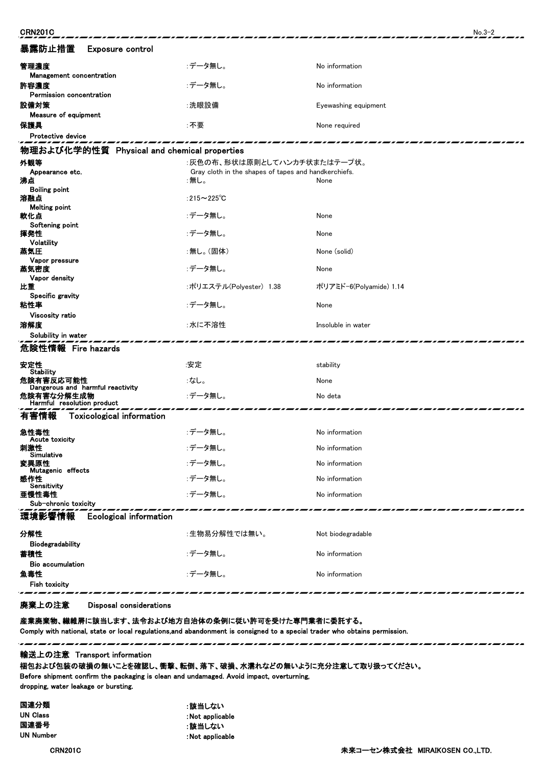| <b>CRN201C</b>                                |                                                      |                         | $No.3-2$ |  |  |
|-----------------------------------------------|------------------------------------------------------|-------------------------|----------|--|--|
| 暴露防止措置<br>Exposure control                    |                                                      |                         |          |  |  |
| 管理濃度<br>Management concentration              | :データ無し。                                              | No information          |          |  |  |
| 許容濃度<br>Permission concentration              | :データ無し。                                              | No information          |          |  |  |
| 設備対策<br>Measure of equipment                  | :洗眼設備                                                | Eyewashing equipment    |          |  |  |
| 保護具                                           | :不要                                                  | None required           |          |  |  |
| <b>Protective device</b>                      |                                                      |                         |          |  |  |
| 物理および化学的性質 Physical and chemical properties   |                                                      |                         |          |  |  |
| 外観等                                           | :灰色の布、形状は原則としてハンカチ状またはテープ状。                          |                         |          |  |  |
| Appearance etc.                               | Gray cloth in the shapes of tapes and handkerchiefs. |                         |          |  |  |
| 沸点                                            | ∶無し。                                                 | None                    |          |  |  |
| <b>Boiling point</b><br>溶融点                   | :215 $\sim$ 225 $\degree$ C                          |                         |          |  |  |
| <b>Melting point</b>                          |                                                      |                         |          |  |  |
| 軟化点                                           | :データ無し。                                              | None                    |          |  |  |
| Softening point<br>揮発性                        | :データ無し。                                              | None                    |          |  |  |
| Volatility                                    |                                                      |                         |          |  |  |
| 蒸気圧                                           | :無し。(固体)                                             | None (solid)            |          |  |  |
| Vapor pressure<br>蒸気密度                        | :データ無し。                                              | None                    |          |  |  |
| Vapor density                                 |                                                      |                         |          |  |  |
| 比重<br>Specific gravity                        | :ポリエステル(Polyester) 1.38                              | ポリアミド-6(Polyamide) 1.14 |          |  |  |
| 粘性率                                           | :データ無し。                                              | None                    |          |  |  |
| Viscosity ratio<br>溶解度                        | :水に不溶性                                               | Insoluble in water      |          |  |  |
| Solubility in water                           |                                                      |                         |          |  |  |
| 危険性情報 Fire hazards                            |                                                      |                         |          |  |  |
| 安定性<br><b>Stability</b>                       | :安定                                                  | stability               |          |  |  |
| 危険有害反応可能性<br>Dangerous and harmful reactivity | :なし。                                                 | None                    |          |  |  |
| 危険有害な分解生成物<br>Harmful resolution product      | :データ無し。                                              | No deta                 |          |  |  |
| 有害情報<br><b>Toxicological information</b>      |                                                      |                         |          |  |  |
| 急性毒性<br><b>Acute toxicity</b>                 | :データ無し。                                              | No information          |          |  |  |
| 刺激性<br>Simulative                             | :データ無し。                                              | No information          |          |  |  |
| 変異原性<br>Mutagenic effects                     | :データ無し。                                              | No information          |          |  |  |
| 感作性<br>Sensitivity                            | :データ無し。                                              | No information          |          |  |  |
| 亜慢性毒性                                         | :データ無し。                                              | No information          |          |  |  |
| Sub-chronic toxicity                          |                                                      |                         |          |  |  |
| 環境影響情報<br><b>Ecological information</b>       |                                                      |                         |          |  |  |
| 分解性<br>Biodegradability                       | :生物易分解性では無い。                                         | Not biodegradable       |          |  |  |
| 蓄積性                                           | :データ無し。                                              | No information          |          |  |  |
| <b>Bio accumulation</b><br>魚毒性                | :データ無し。                                              | No information          |          |  |  |
| <b>Fish toxicity</b>                          |                                                      |                         |          |  |  |

廃棄上の注意 Disposal considerations

産業廃棄物、繊維屑に該当します、法令および地方自治体の条例に従い許可を受けた専門業者に委託する。 Comply with national, state or local regulations,and abandonment is consigned to a special trader who obtains permission.

輸送上の注意 Transport information

梱包および包装の破損の無いことを確認し、衝撃、転倒、落下、破損、水濡れなどの無いように充分注意して取り扱ってください。

Before shipment confirm the packaging is clean and undamaged. Avoid impact, overturning, dropping, water leakage or bursting.

,,,,,,,,,,,,,,,,,,,,,,,,,,,,,,,,

国連分類 おおし おおし おおし おおしない きょうきょう おおしない